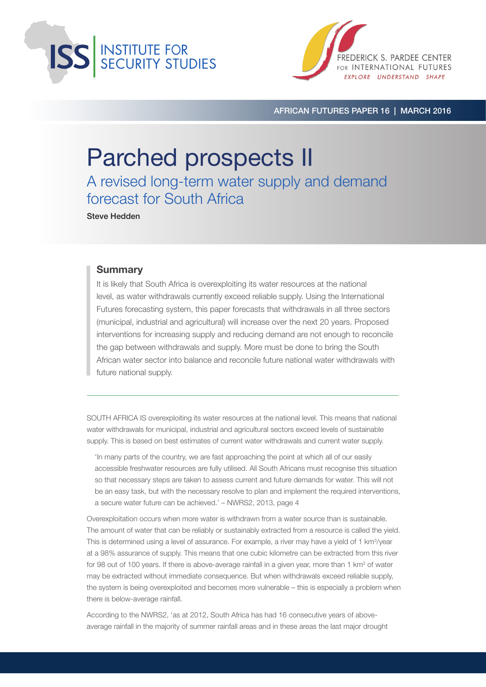



African Futures Paper 16 | March 2016

# Parched prospects II

A revised long-term water supply and demand forecast for South Africa

Steve Hedden

#### **Summary**

It is likely that South Africa is overexploiting its water resources at the national level, as water withdrawals currently exceed reliable supply. Using the International Futures forecasting system, this paper forecasts that withdrawals in all three sectors (municipal, industrial and agricultural) will increase over the next 20 years. Proposed interventions for increasing supply and reducing demand are not enough to reconcile the gap between withdrawals and supply. More must be done to bring the South African water sector into balance and reconcile future national water withdrawals with future national supply.

SOUTH AFRICA IS overexploiting its water resources at the national level. This means that national water withdrawals for municipal, industrial and agricultural sectors exceed levels of sustainable supply. This is based on best estimates of current water withdrawals and current water supply.

'In many parts of the country, we are fast approaching the point at which all of our easily accessible freshwater resources are fully utilised. All South Africans must recognise this situation so that necessary steps are taken to assess current and future demands for water. This will not be an easy task, but with the necessary resolve to plan and implement the required interventions, a secure water future can be achieved.' – NWRS2, 2013, page 4

Overexploitation occurs when more water is withdrawn from a water source than is sustainable. The amount of water that can be reliably or sustainably extracted from a resource is called the yield. This is determined using a level of assurance. For example, a river may have a yield of 1 km<sup>3</sup>/year at a 98% assurance of supply. This means that one cubic kilometre can be extracted from this river for 98 out of 100 years. If there is above-average rainfall in a given year, more than 1 km<sup>3</sup> of water may be extracted without immediate consequence. But when withdrawals exceed reliable supply, the system is being overexploited and becomes more vulnerable – this is especially a problem when there is below-average rainfall.

According to the NWRS2, 'as at 2012, South Africa has had 16 consecutive years of aboveaverage rainfall in the majority of summer rainfall areas and in these areas the last major drought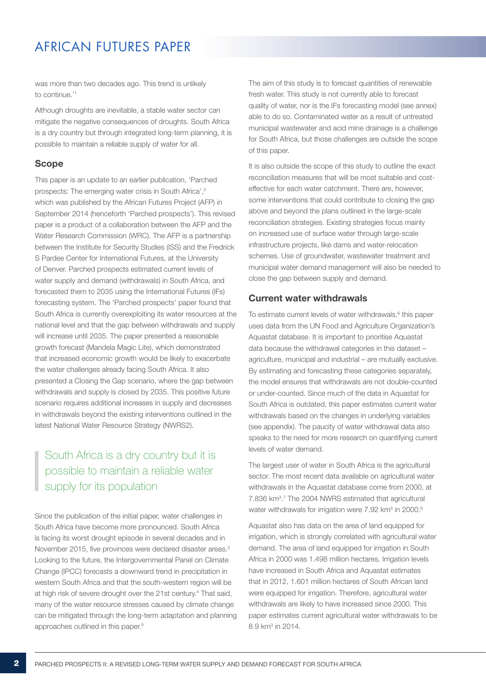was more than two decades ago. This trend is unlikely to continue.'1

Although droughts are inevitable, a stable water sector can mitigate the negative consequences of droughts. South Africa is a dry country but through integrated long-term planning, it is possible to maintain a reliable supply of water for all.

#### Scope

This paper is an update to an earlier publication, 'Parched prospects: The emerging water crisis in South Africa',<sup>2</sup> which was published by the African Futures Project (AFP) in September 2014 (henceforth 'Parched prospects'). This revised paper is a product of a collaboration between the AFP and the Water Research Commission (WRC). The AFP is a partnership between the Institute for Security Studies (ISS) and the Fredrick S Pardee Center for International Futures, at the University of Denver. Parched prospects estimated current levels of water supply and demand (withdrawals) in South Africa, and forecasted them to 2035 using the International Futures (IFs) forecasting system. The 'Parched prospects' paper found that South Africa is currently overexploiting its water resources at the national level and that the gap between withdrawals and supply will increase until 2035. The paper presented a reasonable growth forecast (Mandela Magic Lite), which demonstrated that increased economic growth would be likely to exacerbate the water challenges already facing South Africa. It also presented a Closing the Gap scenario, where the gap between withdrawals and supply is closed by 2035. This positive future scenario requires additional increases in supply and decreases in withdrawals beyond the existing interventions outlined in the latest National Water Resource Strategy (NWRS2).

### South Africa is a dry country but it is possible to maintain a reliable water supply for its population

Since the publication of the initial paper, water challenges in South Africa have become more pronounced. South Africa is facing its worst drought episode in several decades and in November 2015, five provinces were declared disaster areas.<sup>3</sup> Looking to the future, the Intergovernmental Panel on Climate Change (IPCC) forecasts a downward trend in precipitation in western South Africa and that the south-western region will be at high risk of severe drought over the 21st century.<sup>4</sup> That said, many of the water resource stresses caused by climate change can be mitigated through the long-term adaptation and planning approaches outlined in this paper.<sup>5</sup>

The aim of this study is to forecast quantities of renewable fresh water. This study is not currently able to forecast quality of water, nor is the IFs forecasting model (see annex) able to do so. Contaminated water as a result of untreated municipal wastewater and acid mine drainage is a challenge for South Africa, but those challenges are outside the scope of this paper.

It is also outside the scope of this study to outline the exact reconciliation measures that will be most suitable and costeffective for each water catchment. There are, however, some interventions that could contribute to closing the gap above and beyond the plans outlined in the large-scale reconciliation strategies. Existing strategies focus mainly on increased use of surface water through large-scale infrastructure projects, like dams and water-relocation schemes. Use of groundwater, wastewater treatment and municipal water demand management will also be needed to close the gap between supply and demand.

### Current water withdrawals

To estimate current levels of water withdrawals,<sup>6</sup> this paper uses data from the UN Food and Agriculture Organization's Aquastat database. It is important to prioritise Aquastat data because the withdrawal categories in this dataset – agriculture, municipal and industrial – are mutually exclusive. By estimating and forecasting these categories separately, the model ensures that withdrawals are not double-counted or under-counted. Since much of the data in Aquastat for South Africa is outdated, this paper estimates current water withdrawals based on the changes in underlying variables (see appendix). The paucity of water withdrawal data also speaks to the need for more research on quantifying current levels of water demand.

The largest user of water in South Africa is the agricultural sector. The most recent data available on agricultural water withdrawals in the Aquastat database come from 2000, at 7.836 km<sup>3</sup>.<sup>7</sup> The 2004 NWRS estimated that agricultural water withdrawals for irrigation were  $7.92$  km<sup>3</sup> in  $2000$ .<sup>8</sup>

Aquastat also has data on the area of land equipped for irrigation, which is strongly correlated with agricultural water demand. The area of land equipped for irrigation in South Africa in 2000 was 1.498 million hectares. Irrigation levels have increased in South Africa and Aquastat estimates that in 2012, 1.601 million hectares of South African land were equipped for irrigation. Therefore, agricultural water withdrawals are likely to have increased since 2000. This paper estimates current agricultural water withdrawals to be 8.9 km3 in 2014.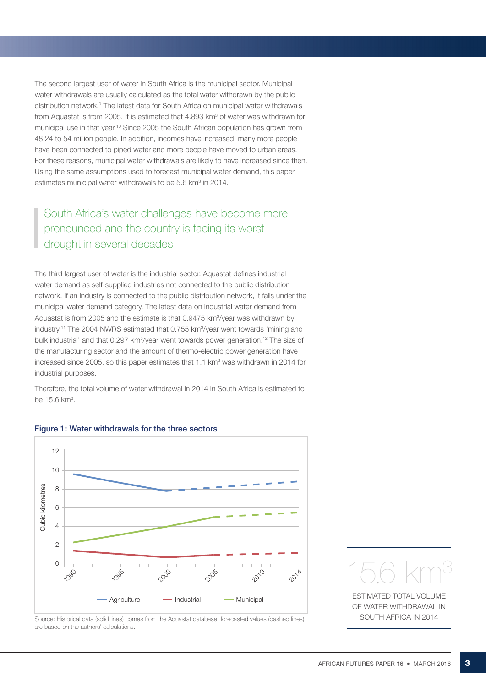The second largest user of water in South Africa is the municipal sector. Municipal water withdrawals are usually calculated as the total water withdrawn by the public distribution network.9 The latest data for South Africa on municipal water withdrawals from Aquastat is from 2005. It is estimated that 4.893  $km^3$  of water was withdrawn for municipal use in that year.10 Since 2005 the South African population has grown from 48.24 to 54 million people. In addition, incomes have increased, many more people have been connected to piped water and more people have moved to urban areas. For these reasons, municipal water withdrawals are likely to have increased since then. Using the same assumptions used to forecast municipal water demand, this paper estimates municipal water withdrawals to be 5.6 km<sup>3</sup> in 2014.

# South Africa's water challenges have become more pronounced and the country is facing its worst drought in several decades

The third largest user of water is the industrial sector. Aquastat defines industrial water demand as self-supplied industries not connected to the public distribution network. If an industry is connected to the public distribution network, it falls under the municipal water demand category. The latest data on industrial water demand from Aquastat is from 2005 and the estimate is that 0.9475 km<sup>3</sup>/year was withdrawn by industry.<sup>11</sup> The 2004 NWRS estimated that 0.755 km<sup>3</sup>/year went towards 'mining and bulk industrial' and that 0.297 km<sup>3</sup>/year went towards power generation.<sup>12</sup> The size of the manufacturing sector and the amount of thermo-electric power generation have increased since 2005, so this paper estimates that 1.1  $km^3$  was withdrawn in 2014 for industrial purposes.

Therefore, the total volume of water withdrawal in 2014 in South Africa is estimated to be 15.6 km<sup>3</sup>.



#### Figure 1: Water withdrawals for the three sectors

Source: Historical data (solid lines) comes from the Aquastat database; forecasted values (dashed lines) are based on the authors' calculations.



of water withdrawal in SOUTH AFRICA IN 2014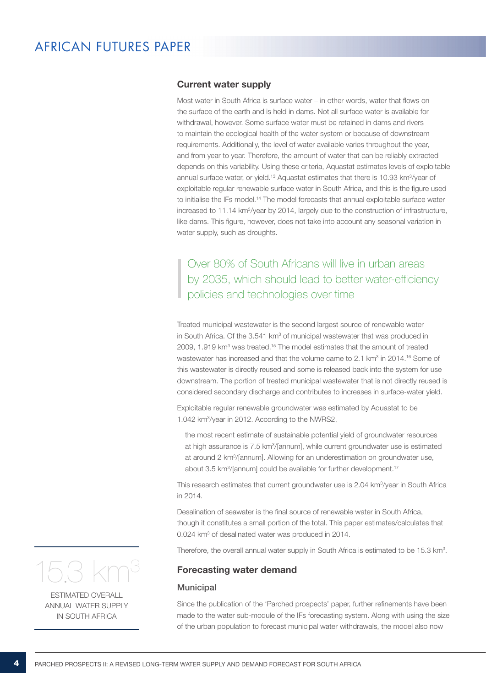#### Current water supply

Most water in South Africa is surface water – in other words, water that flows on the surface of the earth and is held in dams. Not all surface water is available for withdrawal, however. Some surface water must be retained in dams and rivers to maintain the ecological health of the water system or because of downstream requirements. Additionally, the level of water available varies throughout the year, and from year to year. Therefore, the amount of water that can be reliably extracted depends on this variability. Using these criteria, Aquastat estimates levels of exploitable annual surface water, or yield.<sup>13</sup> Aquastat estimates that there is 10.93 km<sup>3</sup>/year of exploitable regular renewable surface water in South Africa, and this is the figure used to initialise the IFs model.14 The model forecasts that annual exploitable surface water increased to 11.14 km<sup>3</sup>/year by 2014, largely due to the construction of infrastructure, like dams. This figure, however, does not take into account any seasonal variation in water supply, such as droughts.

# Over 80% of South Africans will live in urban areas by 2035, which should lead to better water-efficiency policies and technologies over time

Treated municipal wastewater is the second largest source of renewable water in South Africa. Of the 3.541 km<sup>3</sup> of municipal wastewater that was produced in 2009, 1.919  $km^3$  was treated.<sup>15</sup> The model estimates that the amount of treated wastewater has increased and that the volume came to 2.1 km<sup>3</sup> in 2014.<sup>16</sup> Some of this wastewater is directly reused and some is released back into the system for use downstream. The portion of treated municipal wastewater that is not directly reused is considered secondary discharge and contributes to increases in surface-water yield.

Exploitable regular renewable groundwater was estimated by Aquastat to be 1.042 km3 /year in 2012. According to the NWRS2,

the most recent estimate of sustainable potential yield of groundwater resources at high assurance is 7.5 km<sup>3</sup>/[annum], while current groundwater use is estimated at around 2 km3 /[annum]. Allowing for an underestimation on groundwater use, about 3.5 km<sup>3</sup>/[annum] could be available for further development.<sup>17</sup>

This research estimates that current groundwater use is 2.04 km<sup>3</sup>/year in South Africa in 2014.

Desalination of seawater is the final source of renewable water in South Africa, though it constitutes a small portion of the total. This paper estimates/calculates that 0.024 km<sup>3</sup> of desalinated water was produced in 2014.

Therefore, the overall annual water supply in South Africa is estimated to be 15.3 km<sup>3</sup>.

#### Forecasting water demand

#### **Municipal**

Since the publication of the 'Parched prospects' paper, further refinements have been made to the water sub-module of the IFs forecasting system. Along with using the size of the urban population to forecast municipal water withdrawals, the model also now



Estimated overall ANNI JAL WATER SUPPLY in South Africa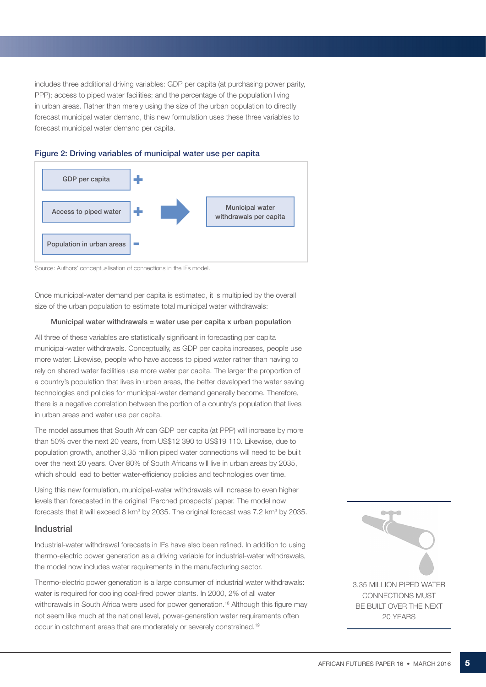includes three additional driving variables: GDP per capita (at purchasing power parity, PPP); access to piped water facilities; and the percentage of the population living in urban areas. Rather than merely using the size of the urban population to directly forecast municipal water demand, this new formulation uses these three variables to forecast municipal water demand per capita.



### Figure 2: Driving variables of municipal water use per capita

Source: Authors' conceptualisation of connections in the IFs model.

Once municipal-water demand per capita is estimated, it is multiplied by the overall size of the urban population to estimate total municipal water withdrawals:

#### Municipal water withdrawals  $=$  water use per capita x urban population

All three of these variables are statistically significant in forecasting per capita municipal-water withdrawals. Conceptually, as GDP per capita increases, people use more water. Likewise, people who have access to piped water rather than having to rely on shared water facilities use more water per capita. The larger the proportion of a country's population that lives in urban areas, the better developed the water saving technologies and policies for municipal-water demand generally become. Therefore, there is a negative correlation between the portion of a country's population that lives in urban areas and water use per capita.

The model assumes that South African GDP per capita (at PPP) will increase by more than 50% over the next 20 years, from US\$12 390 to US\$19 110. Likewise, due to population growth, another 3,35 million piped water connections will need to be built over the next 20 years. Over 80% of South Africans will live in urban areas by 2035, which should lead to better water-efficiency policies and technologies over time.

Using this new formulation, municipal-water withdrawals will increase to even higher levels than forecasted in the original 'Parched prospects' paper. The model now forecasts that it will exceed 8 km<sup>3</sup> by 2035. The original forecast was 7.2 km<sup>3</sup> by 2035.

#### Industrial

Industrial-water withdrawal forecasts in IFs have also been refined. In addition to using thermo-electric power generation as a driving variable for industrial-water withdrawals, the model now includes water requirements in the manufacturing sector.

Thermo-electric power generation is a large consumer of industrial water withdrawals: water is required for cooling coal-fired power plants. In 2000, 2% of all water withdrawals in South Africa were used for power generation.<sup>18</sup> Although this figure may not seem like much at the national level, power-generation water requirements often occur in catchment areas that are moderately or severely constrained.19

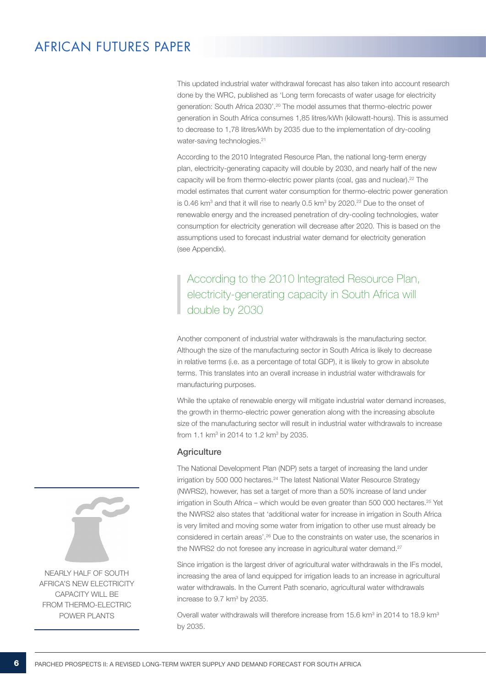This updated industrial water withdrawal forecast has also taken into account research done by the WRC, published as 'Long term forecasts of water usage for electricity generation: South Africa 2030'.20 The model assumes that thermo-electric power generation in South Africa consumes 1,85 litres/kWh (kilowatt-hours). This is assumed to decrease to 1,78 litres/kWh by 2035 due to the implementation of dry-cooling water-saving technologies.<sup>21</sup>

According to the 2010 Integrated Resource Plan, the national long-term energy plan, electricity-generating capacity will double by 2030, and nearly half of the new capacity will be from thermo-electric power plants (coal, gas and nuclear).22 The model estimates that current water consumption for thermo-electric power generation is 0.46 km<sup>3</sup> and that it will rise to nearly 0.5 km<sup>3</sup> by 2020.<sup>23</sup> Due to the onset of renewable energy and the increased penetration of dry-cooling technologies, water consumption for electricity generation will decrease after 2020. This is based on the assumptions used to forecast industrial water demand for electricity generation (see Appendix).

According to the 2010 Integrated Resource Plan, electricity-generating capacity in South Africa will double by 2030

Another component of industrial water withdrawals is the manufacturing sector. Although the size of the manufacturing sector in South Africa is likely to decrease in relative terms (i.e. as a percentage of total GDP), it is likely to grow in absolute terms. This translates into an overall increase in industrial water withdrawals for manufacturing purposes.

While the uptake of renewable energy will mitigate industrial water demand increases, the growth in thermo-electric power generation along with the increasing absolute size of the manufacturing sector will result in industrial water withdrawals to increase from 1.1 km<sup>3</sup> in 2014 to 1.2 km<sup>3</sup> by 2035.

#### **Agriculture**

The National Development Plan (NDP) sets a target of increasing the land under irrigation by 500 000 hectares.<sup>24</sup> The latest National Water Resource Strategy (NWRS2), however, has set a target of more than a 50% increase of land under irrigation in South Africa – which would be even greater than 500 000 hectares.<sup>25</sup> Yet the NWRS2 also states that 'additional water for increase in irrigation in South Africa is very limited and moving some water from irrigation to other use must already be considered in certain areas'.26 Due to the constraints on water use, the scenarios in the NWRS2 do not foresee any increase in agricultural water demand.<sup>27</sup>

Since irrigation is the largest driver of agricultural water withdrawals in the IFs model, increasing the area of land equipped for irrigation leads to an increase in agricultural water withdrawals. In the Current Path scenario, agricultural water withdrawals increase to  $9.7 \text{ km}^3$  by 2035.

Overall water withdrawals will therefore increase from  $15.6$  km<sup>3</sup> in 2014 to 18.9 km<sup>3</sup> by 2035.



Nearly half of South Africa's new electricity CAPACITY WILL BE FROM THERMO-FLECTRIC power plants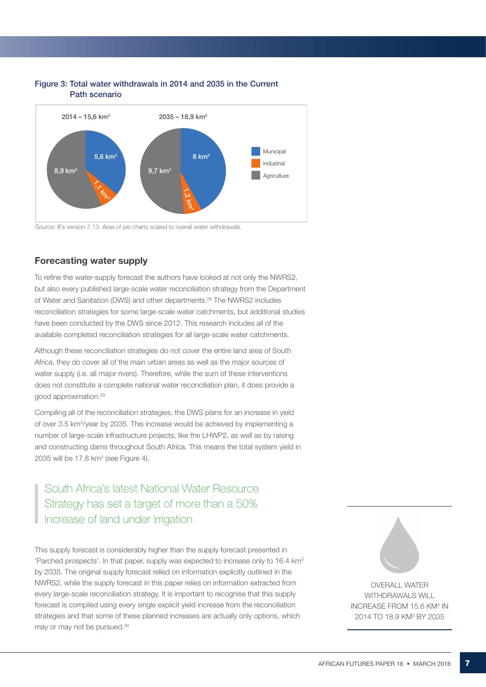

#### Figure 3: Total water withdrawals in 2014 and 2035 in the Current Path scenario

Source: IFs version 7.13. Area of pie charts scaled to overall water withdrawals.

### Forecasting water supply

To refine the water-supply forecast the authors have looked at not only the NWRS2, but also every published large-scale water reconciliation strategy from the Department of Water and Sanitation (DWS) and other departments.28 The NWRS2 includes reconciliation strategies for some large-scale water catchments, but additional studies have been conducted by the DWS since 2012. This research includes all of the available completed reconciliation strategies for all large-scale water catchments.

Although these reconciliation strategies do not cover the entire land area of South Africa, they do cover all of the main urban areas as well as the major sources of water supply (i.e. all major rivers). Therefore, while the sum of these interventions does not constitute a complete national water reconciliation plan, it does provide a good approximation.29

Compiling all of the reconciliation strategies, the DWS plans for an increase in yield of over 3.5 km<sup>3</sup>/year by 2035. This increase would be achieved by implementing a number of large-scale infrastructure projects, like the LHWP2, as well as by raising and constructing dams throughout South Africa. This means the total system yield in  $2035$  will be 17.8 km<sup>3</sup> (see Figure 4).

# South Africa's latest National Water Resource Strategy has set a target of more than a 50% increase of land under irrigation

This supply forecast is considerably higher than the supply forecast presented in 'Parched prospects'. In that paper, supply was expected to increase only to 16.4 km3 by 2035. The original supply forecast relied on information explicitly outlined in the NWRS2, while the supply forecast in this paper relies on information extracted from every large-scale reconciliation strategy. It is important to recognise that this supply forecast is compiled using every single explicit yield increase from the reconciliation strategies and that some of these planned increases are actually only options, which may or may not be pursued.30

Overall water WITHDRAWALS WILL INCREASE FROM 15.6 KM<sup>3</sup> IN 2014 TO 18.9 KM<sup>3</sup> BY 2035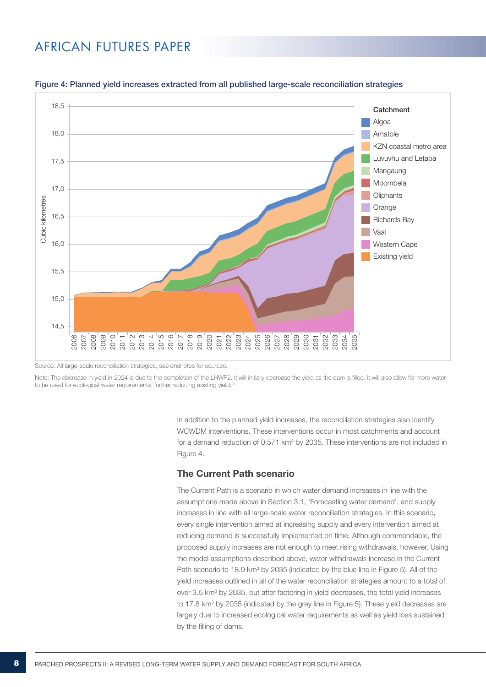

#### Figure 4: Planned yield increases extracted from all published large-scale reconciliation strategies

Source: All large-scale reconciliation strategies, see endnotes for sources.

Note: The decrease in yield in 2024 is due to the completion of the LHWP2. It will initially decrease the yield as the dam is filled. It will also allow for more water to be used for ecological water requirements, further reducing existing yield.<sup>31</sup>

> In addition to the planned vield increases, the reconciliation strategies also identify WCWDM interventions. These interventions occur in most catchments and account for a demand reduction of 0.571  $km^3$  by 2035. These interventions are not included in Figure 4.

### The Current Path scenario

The Current Path is a scenario in which water demand increases in line with the assumptions made above in Section 3.1, 'Forecasting water demand', and supply increases in line with all large-scale water reconciliation strategies. In this scenario, every single intervention aimed at increasing supply and every intervention aimed at reducing demand is successfully implemented on time. Although commendable, the proposed supply increases are not enough to meet rising withdrawals, however. Using the model assumptions described above, water withdrawals increase in the Current Path scenario to 18.9 km<sup>3</sup> by 2035 (indicated by the blue line in Figure 5). All of the yield increases outlined in all of the water reconciliation strategies amount to a total of over 3.5 km<sup>3</sup> by 2035, but after factoring in yield decreases, the total yield increases to 17.8 km<sup>3</sup> by 2035 (indicated by the grey line in Figure 5). These yield decreases are largely due to increased ecological water requirements as well as yield loss sustained by the filling of dams.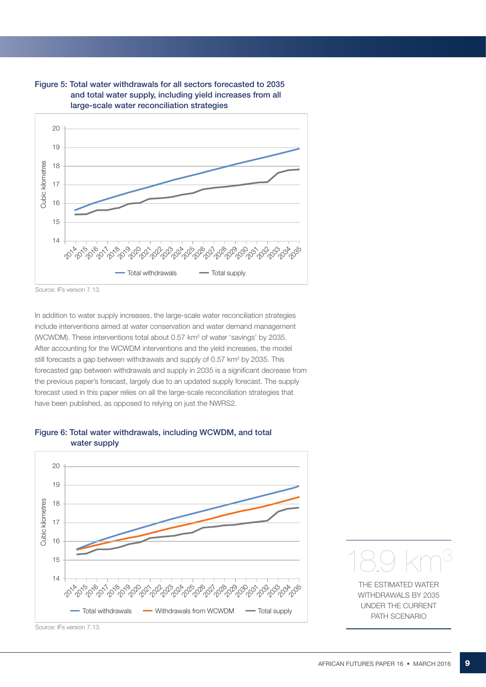



Source: IFs version 7.13.

In addition to water supply increases, the large-scale water reconciliation strategies include interventions aimed at water conservation and water demand management (WCWDM). These interventions total about 0.57 km<sup>3</sup> of water 'savings' by 2035. After accounting for the WCWDM interventions and the yield increases, the model still forecasts a gap between withdrawals and supply of 0.57 km<sup>3</sup> by 2035. This forecasted gap between withdrawals and supply in 2035 is a significant decrease from the previous paper's forecast, largely due to an updated supply forecast. The supply forecast used in this paper relies on all the large-scale reconciliation strategies that have been published, as opposed to relying on just the NWRS2.







withdrawals by 2035 under the Current Path scenario

Source: IFs version 7.13.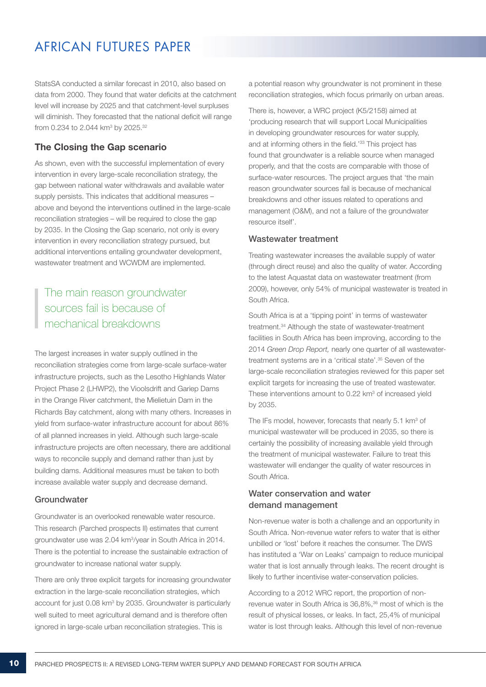StatsSA conducted a similar forecast in 2010, also based on data from 2000. They found that water deficits at the catchment level will increase by 2025 and that catchment-level surpluses will diminish. They forecasted that the national deficit will range from 0.234 to 2.044 km<sup>3</sup> by 2025.<sup>32</sup>

### The Closing the Gap scenario

As shown, even with the successful implementation of every intervention in every large-scale reconciliation strategy, the gap between national water withdrawals and available water supply persists. This indicates that additional measures – above and beyond the interventions outlined in the large-scale reconciliation strategies – will be required to close the gap by 2035. In the Closing the Gap scenario, not only is every intervention in every reconciliation strategy pursued, but additional interventions entailing groundwater development, wastewater treatment and WCWDM are implemented.

### The main reason groundwater sources fail is because of mechanical breakdowns

The largest increases in water supply outlined in the reconciliation strategies come from large-scale surface-water infrastructure projects, such as the Lesotho Highlands Water Project Phase 2 (LHWP2), the Vioolsdrift and Gariep Dams in the Orange River catchment, the Mielietuin Dam in the Richards Bay catchment, along with many others. Increases in yield from surface-water infrastructure account for about 86% of all planned increases in yield. Although such large-scale infrastructure projects are often necessary, there are additional ways to reconcile supply and demand rather than just by building dams. Additional measures must be taken to both increase available water supply and decrease demand.

#### Groundwater

Groundwater is an overlooked renewable water resource. This research (Parched prospects II) estimates that current groundwater use was 2.04 km3 /year in South Africa in 2014. There is the potential to increase the sustainable extraction of groundwater to increase national water supply.

There are only three explicit targets for increasing groundwater extraction in the large-scale reconciliation strategies, which account for just 0.08 km<sup>3</sup> by 2035. Groundwater is particularly well suited to meet agricultural demand and is therefore often ignored in large-scale urban reconciliation strategies. This is

a potential reason why groundwater is not prominent in these reconciliation strategies, which focus primarily on urban areas.

There is, however, a WRC project (K5/2158) aimed at 'producing research that will support Local Municipalities in developing groundwater resources for water supply, and at informing others in the field.'33 This project has found that groundwater is a reliable source when managed properly, and that the costs are comparable with those of surface-water resources. The project argues that 'the main reason groundwater sources fail is because of mechanical breakdowns and other issues related to operations and management (O&M), and not a failure of the groundwater resource itself'.

#### Wastewater treatment

Treating wastewater increases the available supply of water (through direct reuse) and also the quality of water. According to the latest Aquastat data on wastewater treatment (from 2009), however, only 54% of municipal wastewater is treated in South Africa.

South Africa is at a 'tipping point' in terms of wastewater treatment.34 Although the state of wastewater-treatment facilities in South Africa has been improving, according to the 2014 *Green Drop Report,* nearly one quarter of all wastewatertreatment systems are in a 'critical state'.35 Seven of the large-scale reconciliation strategies reviewed for this paper set explicit targets for increasing the use of treated wastewater. These interventions amount to 0.22 km<sup>3</sup> of increased yield by 2035.

The IFs model, however, forecasts that nearly 5.1 km<sup>3</sup> of municipal wastewater will be produced in 2035, so there is certainly the possibility of increasing available yield through the treatment of municipal wastewater. Failure to treat this wastewater will endanger the quality of water resources in South Africa.

### Water conservation and water demand management

Non-revenue water is both a challenge and an opportunity in South Africa. Non-revenue water refers to water that is either unbilled or 'lost' before it reaches the consumer. The DWS has instituted a 'War on Leaks' campaign to reduce municipal water that is lost annually through leaks. The recent drought is likely to further incentivise water-conservation policies.

According to a 2012 WRC report, the proportion of nonrevenue water in South Africa is 36,8%,36 most of which is the result of physical losses, or leaks. In fact, 25,4% of municipal water is lost through leaks. Although this level of non-revenue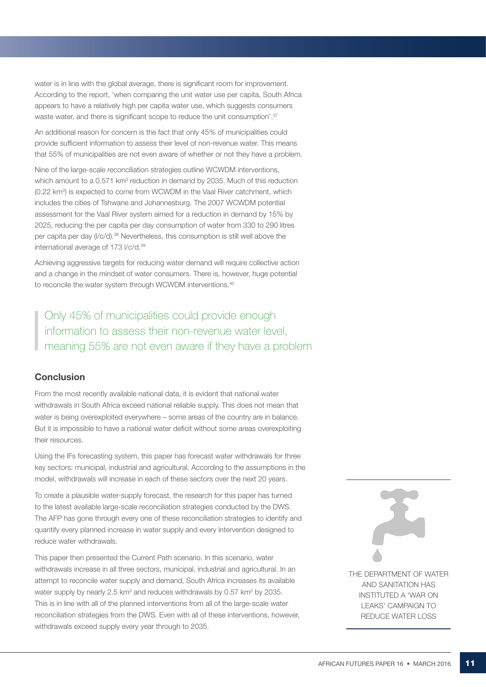water is in line with the global average, there is significant room for improvement. According to the report, 'when comparing the unit water use per capita, South Africa appears to have a relatively high per capita water use, which suggests consumers waste water, and there is significant scope to reduce the unit consumption'.<sup>37</sup>

An additional reason for concern is the fact that only 45% of municipalities could provide sufficient information to assess their level of non-revenue water. This means that 55% of municipalities are not even aware of whether or not they have a problem.

Nine of the large-scale reconciliation strategies outline WCWDM interventions, which amount to a 0.571  $km^3$  reduction in demand by 2035. Much of this reduction (0.22 km<sup>3</sup>) is expected to come from WCWDM in the Vaal River catchment, which includes the cities of Tshwane and Johannesburg. The 2007 WCWDM potential assessment for the Vaal River system aimed for a reduction in demand by 15% by 2025, reducing the per capita per day consumption of water from 330 to 290 litres per capita per day (l/c/d).38 Nevertheless, this consumption is still well above the international average of 173 l/c/d.39

Achieving aggressive targets for reducing water demand will require collective action and a change in the mindset of water consumers. There is, however, huge potential to reconcile the water system through WCWDM interventions.<sup>40</sup>

Only 45% of municipalities could provide enough information to assess their non-revenue water level, meaning 55% are not even aware if they have a problem

### **Conclusion**

From the most recently available national data, it is evident that national water withdrawals in South Africa exceed national reliable supply. This does not mean that water is being overexploited everywhere – some areas of the country are in balance. But it is impossible to have a national water deficit without some areas overexploiting their resources.

Using the IFs forecasting system, this paper has forecast water withdrawals for three key sectors: municipal, industrial and agricultural. According to the assumptions in the model, withdrawals will increase in each of these sectors over the next 20 years.

To create a plausible water-supply forecast, the research for this paper has turned to the latest available large-scale reconciliation strategies conducted by the DWS. The AFP has gone through every one of these reconciliation strategies to identify and quantify every planned increase in water supply and every intervention designed to reduce water withdrawals.

This paper then presented the Current Path scenario. In this scenario, water withdrawals increase in all three sectors, municipal, industrial and agricultural. In an attempt to reconcile water supply and demand, South Africa increases its available water supply by nearly 2.5  $km^3$  and reduces withdrawals by 0.57  $km^3$  by 2035. This is in line with all of the planned interventions from all of the large-scale water reconciliation strategies from the DWS. Even with all of these interventions, however, withdrawals exceed supply every year through to 2035.

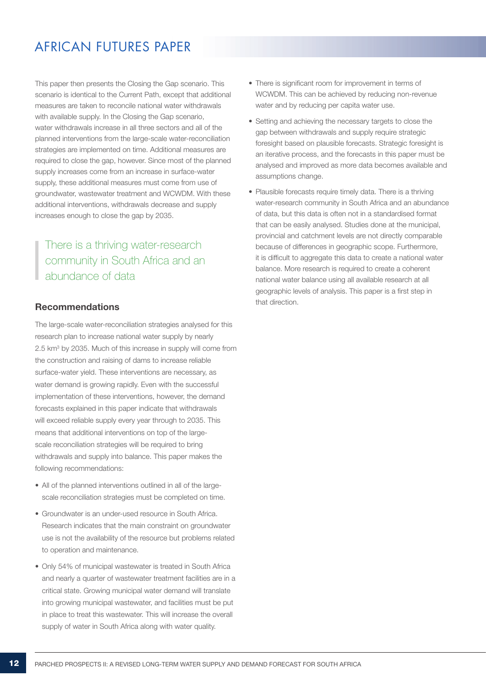This paper then presents the Closing the Gap scenario. This scenario is identical to the Current Path, except that additional measures are taken to reconcile national water withdrawals with available supply. In the Closing the Gap scenario, water withdrawals increase in all three sectors and all of the planned interventions from the large-scale water-reconciliation strategies are implemented on time. Additional measures are required to close the gap, however. Since most of the planned supply increases come from an increase in surface-water supply, these additional measures must come from use of groundwater, wastewater treatment and WCWDM. With these additional interventions, withdrawals decrease and supply increases enough to close the gap by 2035.

# There is a thriving water-research community in South Africa and an abundance of data

### Recommendations

The large-scale water-reconciliation strategies analysed for this research plan to increase national water supply by nearly 2.5 km<sup>3</sup> by 2035. Much of this increase in supply will come from the construction and raising of dams to increase reliable surface-water yield. These interventions are necessary, as water demand is growing rapidly. Even with the successful implementation of these interventions, however, the demand forecasts explained in this paper indicate that withdrawals will exceed reliable supply every year through to 2035. This means that additional interventions on top of the largescale reconciliation strategies will be required to bring withdrawals and supply into balance. This paper makes the following recommendations:

- All of the planned interventions outlined in all of the largescale reconciliation strategies must be completed on time.
- Groundwater is an under-used resource in South Africa. Research indicates that the main constraint on groundwater use is not the availability of the resource but problems related to operation and maintenance.
- Only 54% of municipal wastewater is treated in South Africa and nearly a quarter of wastewater treatment facilities are in a critical state. Growing municipal water demand will translate into growing municipal wastewater, and facilities must be put in place to treat this wastewater. This will increase the overall supply of water in South Africa along with water quality.
- There is significant room for improvement in terms of WCWDM. This can be achieved by reducing non-revenue water and by reducing per capita water use.
- Setting and achieving the necessary targets to close the gap between withdrawals and supply require strategic foresight based on plausible forecasts. Strategic foresight is an iterative process, and the forecasts in this paper must be analysed and improved as more data becomes available and assumptions change.
- Plausible forecasts require timely data. There is a thriving water-research community in South Africa and an abundance of data, but this data is often not in a standardised format that can be easily analysed. Studies done at the municipal, provincial and catchment levels are not directly comparable because of differences in geographic scope. Furthermore, it is difficult to aggregate this data to create a national water balance. More research is required to create a coherent national water balance using all available research at all geographic levels of analysis. This paper is a first step in that direction.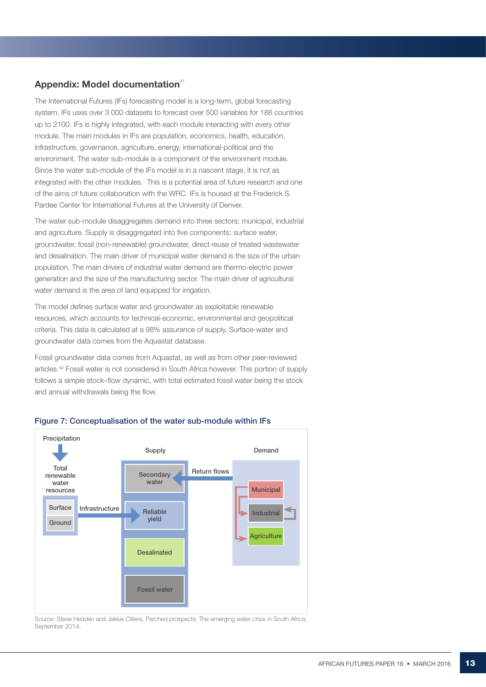### Appendix: Model documentation $41$

The International Futures (IFs) forecasting model is a long-term, global forecasting system. IFs uses over 3 000 datasets to forecast over 500 variables for 186 countries up to 2100. IFs is highly integrated, with each module interacting with every other module. The main modules in IFs are population, economics, health, education, infrastructure, governance, agriculture, energy, international-political and the environment. The water sub-module is a component of the environment module. Since the water sub-module of the IFs model is in a nascent stage, it is not as integrated with the other modules. This is a potential area of future research and one of the aims of future collaboration with the WRC. IFs is housed at the Frederick S. Pardee Center for International Futures at the University of Denver.

The water sub-module disaggregates demand into three sectors: municipal, industrial and agriculture. Supply is disaggregated into five components: surface water, groundwater, fossil (non-renewable) groundwater, direct reuse of treated wastewater and desalination. The main driver of municipal water demand is the size of the urban population. The main drivers of industrial water demand are thermo-electric power generation and the size of the manufacturing sector. The main driver of agricultural water demand is the area of land equipped for irrigation.

The model defines surface water and groundwater as exploitable renewable resources, which accounts for technical-economic, environmental and geopolitical criteria. This data is calculated at a 98% assurance of supply. Surface-water and groundwater data comes from the Aquastat database.

Fossil groundwater data comes from Aquastat, as well as from other peer-reviewed articles.42 Fossil water is not considered in South Africa however. This portion of supply follows a simple stock–flow dynamic, with total estimated fossil water being the stock and annual withdrawals being the flow.



#### Figure 7: Conceptualisation of the water sub-module within IFs

Source: Steve Hedden and Jakkie Cilliers, Parched prospects: The emerging water crisis in South Africa, September 2014.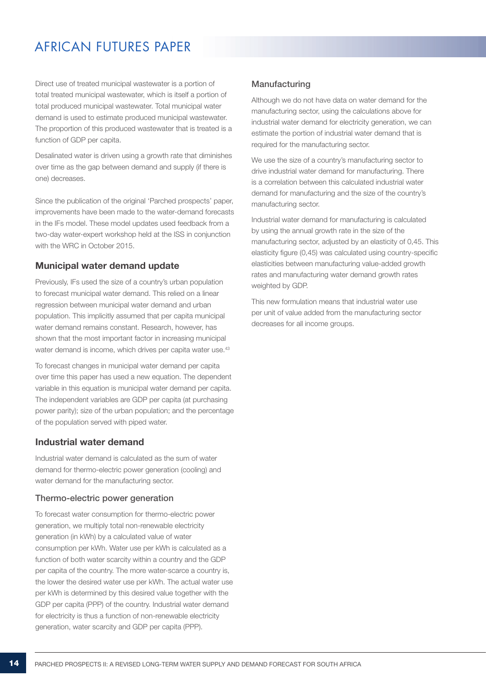Direct use of treated municipal wastewater is a portion of total treated municipal wastewater, which is itself a portion of total produced municipal wastewater. Total municipal water demand is used to estimate produced municipal wastewater. The proportion of this produced wastewater that is treated is a function of GDP per capita.

Desalinated water is driven using a growth rate that diminishes over time as the gap between demand and supply (if there is one) decreases.

Since the publication of the original 'Parched prospects' paper, improvements have been made to the water-demand forecasts in the IFs model. These model updates used feedback from a two-day water-expert workshop held at the ISS in conjunction with the WRC in October 2015.

### Municipal water demand update

Previously, IFs used the size of a country's urban population to forecast municipal water demand. This relied on a linear regression between municipal water demand and urban population. This implicitly assumed that per capita municipal water demand remains constant. Research, however, has shown that the most important factor in increasing municipal water demand is income, which drives per capita water use.<sup>43</sup>

To forecast changes in municipal water demand per capita over time this paper has used a new equation. The dependent variable in this equation is municipal water demand per capita. The independent variables are GDP per capita (at purchasing power parity); size of the urban population; and the percentage of the population served with piped water.

### Industrial water demand

Industrial water demand is calculated as the sum of water demand for thermo-electric power generation (cooling) and water demand for the manufacturing sector.

#### Thermo-electric power generation

To forecast water consumption for thermo-electric power generation, we multiply total non-renewable electricity generation (in kWh) by a calculated value of water consumption per kWh. Water use per kWh is calculated as a function of both water scarcity within a country and the GDP per capita of the country. The more water-scarce a country is, the lower the desired water use per kWh. The actual water use per kWh is determined by this desired value together with the GDP per capita (PPP) of the country. Industrial water demand for electricity is thus a function of non-renewable electricity generation, water scarcity and GDP per capita (PPP).

### Manufacturing

Although we do not have data on water demand for the manufacturing sector, using the calculations above for industrial water demand for electricity generation, we can estimate the portion of industrial water demand that is required for the manufacturing sector.

We use the size of a country's manufacturing sector to drive industrial water demand for manufacturing. There is a correlation between this calculated industrial water demand for manufacturing and the size of the country's manufacturing sector.

Industrial water demand for manufacturing is calculated by using the annual growth rate in the size of the manufacturing sector, adjusted by an elasticity of 0,45. This elasticity figure (0,45) was calculated using country-specific elasticities between manufacturing value-added growth rates and manufacturing water demand growth rates weighted by GDP.

This new formulation means that industrial water use per unit of value added from the manufacturing sector decreases for all income groups.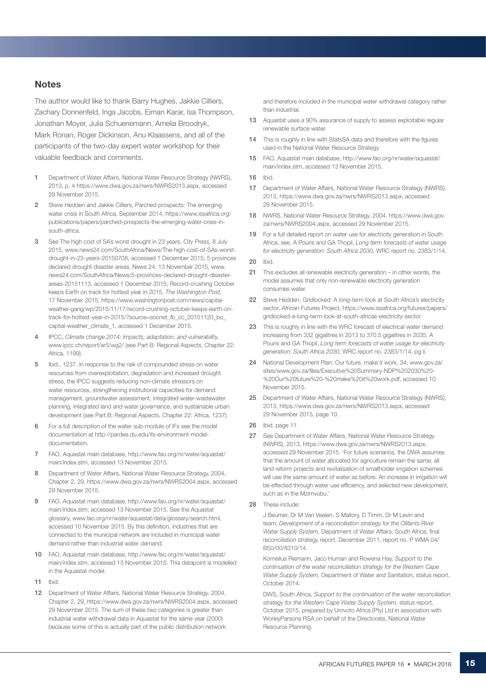#### **Notes**

The author would like to thank Barry Hughes, Jakkie Cilliers, Zachary Donnenfeld, Inga Jacobs, Eiman Karar, Isa Thompson, Jonathan Moyer, Julia Schuenemann, Amelia Broodryk, Mark Ronan, Roger Dickinson, Anu Klaassens, and all of the participants of the two-day expert water workshop for their valuable feedback and comments.

- 1 Department of Water Affairs, National Water Resource Strategy (NWRS), 2013, p. 4 https://www.dwa.gov.za/nwrs/NWRS2013.aspx, accessed 29 November 2015.
- 2 Steve Hedden and Jakkie Cilliers, Parched prospects: The emerging water crisis in South Africa, September 2014, https://www.issafrica.org/ publications/papers/parched-prospects-the-emerging-water-crisis-insouth-africa.
- 3 See The high cost of SA's worst drought in 23 years, *City Press,* 8 July 2015, www.news24.com/SouthAfrica/News/The-high-cost-of-SAs-worstdrought-in-23-years-20150708, accessed 1 December 2015; 5 provinces declared drought disaster areas, News 24, 13 November 2015, www. news24.com/SouthAfrica/News/5-provinces-declared-drought-disasterareas-20151113, accessed 1 December 2015; Record-crushing October keeps Earth on track for hottest year in 2015, *The Washington Post,*  17 November 2015, https://www.washingtonpost.com/news/capitalweather-gang/wp/2015/11/17/record-crushing-october-keeps-earth-ontrack-for-hottest-year-in-2015/?source=socnet\_fb\_cc\_20151120\_bo\_ captial-weather\_climate\_1, accessed 1 December 2015.
- 4 IPCC, *Climate change 2014: Impacts, adaptation, and vulnerability,*  www.ipcc.ch/report/ar5/wg2/ (see Part B: Regional Aspects, Chapter 22: Africa, 1199).
- 5 Ibid., 1237. In response to the risk of compounded stress on water resources from overexploitation, degradation and increased drought stress, the IPCC suggests reducing non-climate stressors on water resources, strengthening institutional capacities for demand management, groundwater assessment, integrated water-wastewater planning, integrated land and water governance, and sustainable urban development (see Part B: Regional Aspects, Chapter 22: Africa, 1237).
- For a full description of the water sub-module of IFs see the model documentation at http://pardee.du.edu/ifs-environment-modeldocumentation.
- 7 FAO, Aquastat main database, http://www.fao.org/nr/water/aquastat/ main/index.stm, accessed 13 November 2015.
- 8 Department of Water Affairs, National Water Resource Strategy, 2004, Chapter 2, 29, https://www.dwa.gov.za/nwrs/NWRS2004.aspx, accessed 29 November 2015.
- 9 FAO, Aquastat main database, http://www.fao.org/nr/water/aquastat/ main/index.stm, accessed 13 November 2015. See the Aquastat glossary, www.fao.org/nr/water/aquastat/data/glossary/search.html, accessed 10 November 2015. By this definition, industries that are connected to the municipal network are included in municipal water demand rather than industrial water demand.
- 10 FAO, Aquastat main database, http://www.fao.org/nr/water/aquastat/ main/index.stm, accessed 13 November 2015. This datapoint is modelled in the Aquastat model.
- 11 Ibid.
- 12 Department of Water Affairs, National Water Resource Strategy, 2004, Chapter 2, 29, https://www.dwa.gov.za/nwrs/NWRS2004.aspx, accessed 29 November 2015. The sum of these two categories is greater than industrial water withdrawal data in Aquastat for the same year (2000) because some of this is actually part of the public distribution network

and therefore included in the municipal water withdrawal category rather than industrial.

- 13 Aquastat uses a 90% assurance of supply to assess exploitable regular renewable surface water.
- 14 This is roughly in line with StatsSA data and therefore with the figures used in the National Water Resource Strategy.
- 15 FAO, Aquastat main database, http://www.fao.org/nr/water/aquastat/ main/index.stm, accessed 13 November 2015.
- 16 Ibid.
- 17 Department of Water Affairs, National Water Resource Strategy (NWRS), 2013, https://www.dwa.gov.za/nwrs/NWRS2013.aspx, accessed 29 November 2015.
- 18 NWRS, National Water Resource Strategy, 2004, https://www.dwa.gov. za/nwrs/NWRS2004.aspx, accessed 29 November 2015.
- 19 For a full detailed report on water use for electricity generation in South Africa, see, A Pouris and GA Thopil, *Long term forecasts of water usage for electricity generation: South Africa 2030,* WRC report no. 2383/1/14.
- 20 Ibid.
- 21 This excludes all renewable electricity generation in other words, the model assumes that only non-renewable electricity generation consumes water.
- 22 Steve Hedden, Gridlocked: A long-term look at South Africa's electricity sector, African Futures Project, https://www.issafrica.org/futures/papers/ gridlocked-a-long-term-look-at-south-africas-electricity-sector.
- 23 This is roughly in line with the WRC forecast of electrical water demand increasing from 332 gigalitres in 2013 to 370.5 gigalitres in 2035, A Pouris and GA Thopil, *Long term forecasts of water usage for electricity generation: South Africa 2030,* WRC report no. 2383/1/14, pg ii.
- 24 National Development Plan: Our future, make it work, 34, www.gov.za/ sites/www.gov.za/files/Executive%20Summary-NDP%202030%20- %20Our%20future%20-%20make%20it%20work.pdf, accessed 10 November 2015.
- 25 Department of Water Affairs, National Water Resource Strategy (NWRS), 2013, https://www.dwa.gov.za/nwrs/NWRS2013.aspx, accessed 29 November 2015, page 10.
- 26 Ibid. page 11.
- 27 See Department of Water Affairs, National Water Resource Strategy (NWRS), 2013, https://www.dwa.gov.za/nwrs/NWRS2013.aspx, accessed 29 November 2015. 'For future scenarios, the DWA assumes that the amount of water allocated for agriculture remain the same; all land reform projects and revitalisation of smallholder irrigation schemes will use the same amount of water as before. An increase in irrigation will be effected through water use efficiency, and selected new development, such as in the Mzimvubu.'
- 28 These include:

J Beumer, Dr M Van Veelen, S Mallory, D Timm, Dr M Levin and team, *Development of a reconciliation strategy for the Olifants River Water Supply System,* Department of Water Affairs, South Africa, final reconciliation strategy report, December 2011, report no. P WMA 04/ B50/00/8310/14.

Kornelius Riemann, Jaco Human and Rowena Hay, *Support to the continuation of the water reconciliation strategy for the Western Cape Water Supply System,* Department of Water and Sanitation, status report, October 2014.

DWS, South Africa, *Support to the continuation of the water reconciliation strategy for the Western Cape Water Supply System,* status report, October 2015, prepared by Umvoto Africa (Pty) Ltd in association with WorleyParsons RSA on behalf of the Directorate, National Water Resource Planning.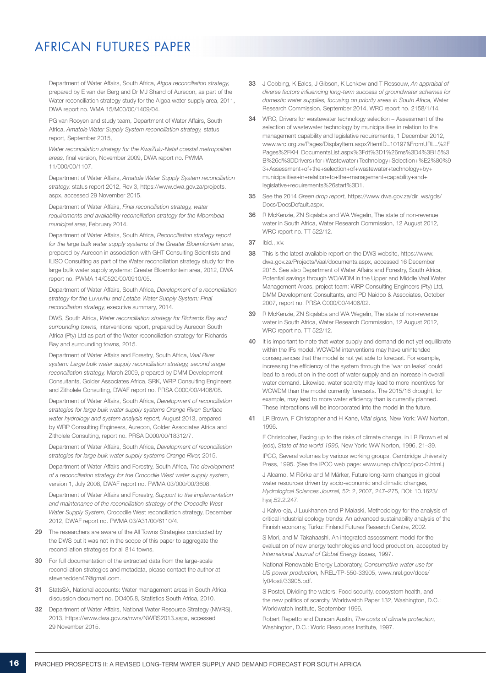Department of Water Affairs, South Africa, *Algoa reconciliation strategy,* prepared by E van der Berg and Dr MJ Shand of Aurecon, as part of the Water reconciliation strategy study for the Algoa water supply area, 2011, DWA report no. WMA 15/M00/00/1409/04.

PG van Rooyen and study team, Department of Water Affairs, South Africa, *Amatole Water Supply System reconciliation strategy,* status report, September 2015,

*Water reconciliation strategy for the KwaZulu-Natal coastal metropolitan areas,* final version, November 2009, DWA report no. PWMA 11/000/00/1107.

Department of Water Affairs, *Amatole Water Supply System reconciliation strategy,* status report 2012, Rev 3, https://www.dwa.gov.za/projects. aspx, accessed 29 November 2015.

Department of Water Affairs, *Final reconciliation strategy, water requirements and availability reconciliation strategy for the Mbombela municipal area,* February 2014.

Department of Water Affairs, South Africa, *Reconciliation strategy report for the large bulk water supply systems of the Greater Bloemfontein area,*  prepared by Aurecon in association with GHT Consulting Scientists and ILISO Consulting as part of the Water reconciliation strategy study for the large bulk water supply systems: Greater Bloemfontein area, 2012, DWA report no. PWMA 14/C520/00/0910/05.

Department of Water Affairs, South Africa, *Development of a reconciliation strategy for the Luvuvhu and Letaba Water Supply System: Final reconciliation strategy,* executive summary, 2014.

DWS, South Africa, *Water reconciliation strategy for Richards Bay and surrounding towns,* interventions report, prepared by Aurecon South Africa (Pty) Ltd as part of the Water reconciliation strategy for Richards Bay and surrounding towns, 2015.

Department of Water Affairs and Forestry, South Africa, *Vaal River system: Large bulk water supply reconciliation strategy, second stage reconciliation strategy,* March 2009, prepared by DMM Development Consultants, Golder Associates Africa, SRK, WRP Consulting Engineers and Zitholele Consulting, DWAF report no. PRSA C000/00/4406/08.

Department of Water Affairs, South Africa, *Development of reconciliation strategies for large bulk water supply systems Orange River: Surface water hydrology and system analysis report,* August 2013, prepared by WRP Consulting Engineers, Aurecon, Golder Associates Africa and Zitholele Consulting, report no. PRSA D000/00/18312/7.

Department of Water Affairs, South Africa, *Development of reconciliation strategies for large bulk water supply systems Orange River,* 2015.

Department of Water Affairs and Forestry, South Africa, *The development of a reconciliation strategy for the Crocodile West water supply system,* version 1, July 2008, DWAF report no. PWMA 03/000/00/3608.

Department of Water Affairs and Forestry, *Support to the implementation and maintenance of the reconciliation strategy of the Crocodile West Water Supply System,* Crocodile West reconciliation strategy, December 2012, DWAF report no. PWMA 03/A31/00/6110/4.

- 29 The researchers are aware of the All Towns Strategies conducted by the DWS but it was not in the scope of this paper to aggregate the reconciliation strategies for all 814 towns.
- 30 For full documentation of the extracted data from the large-scale reconciliation strategies and metadata, please contact the author at stevehedden47@gmail.com.
- 31 StatsSA, National accounts: Water management areas in South Africa, discussion document no. DO405.8, Statistics South Africa, 2010.
- 32 Department of Water Affairs, National Water Resource Strategy (NWRS), 2013, https://www.dwa.gov.za/nwrs/NWRS2013.aspx, accessed 29 November 2015.
- 33 J Cobbing, K Eales, J Gibson, K Lenkow and T Rossouw, *An appraisal of diverse factors influencing long-term success of groundwater schemes for domestic water supplies, focusing on priority areas in South Africa,* Water Research Commission, September 2014, WRC report no. 2158/1/14.
- 34 WRC, Drivers for wastewater technology selection Assessment of the selection of wastewater technology by municipalities in relation to the management capability and legislative requirements, 1 December 2012, www.wrc.org.za/Pages/DisplayItem.aspx?ItemID=10197&FromURL=%2F Pages%2FKH\_DocumentsList.aspx%3Fdt%3D1%26ms%3D4%3B15%3 B%26d%3DDrivers+for+Wastewater+Technology+Selection+%E2%80%9 3+Assessment+of+the+selection+of+wastewater+technology+by+ municipalities+in+relation+to+the+management+capability+and+ legislative+requirements%26start%3D1.
- 35 See the 2014 *Green drop report,* https://www.dwa.gov.za/dir\_ws/gds/ Docs/DocsDefault.aspx.
- 36 R McKenzie, ZN Siqalaba and WA Wegelin, The state of non-revenue water in South Africa, Water Research Commission, 12 August 2012, WRC report no. TT 522/12.
- 37 Ibid., xiv.
- 38 This is the latest available report on the DWS website, https://www. dwa.gov.za/Projects/Vaal/documents.aspx, accessed 16 December 2015. See also Department of Water Affairs and Forestry, South Africa, Potential savings through WC/WDM in the Upper and Middle Vaal Water Management Areas, project team: WRP Consulting Engineers (Pty) Ltd, DMM Development Consultants, and PD Naidoo & Associates, October 2007, report no. PRSA C000/00/4406/02.
- 39 R McKenzie, ZN Siqalaba and WA Wegelin, The state of non-revenue water in South Africa, Water Research Commission, 12 August 2012, WRC report no. TT 522/12.
- 40 It is important to note that water supply and demand do not yet equilibrate within the IFs model. WCWDM interventions may have unintended consequences that the model is not yet able to forecast. For example, increasing the efficiency of the system through the 'war on leaks' could lead to a reduction in the cost of water supply and an increase in overall water demand. Likewise, water scarcity may lead to more incentives for WCWDM than the model currently forecasts. The 2015/16 drought, for example, may lead to more water efficiency than is currently planned. These interactions will be incorporated into the model in the future.
- 41 LR Brown, F Christopher and H Kane, *Vital signs,* New York: WW Norton, 1996.

 F Christopher, Facing up to the risks of climate change, in LR Brown et al (eds), *State of the world 1996,* New York: WW Norton, 1996, 21–39.

 IPCC, Several volumes by various working groups, Cambridge University Press, 1995. (See the IPCC web page: www.unep.ch/ipcc/ipcc-0.html.)

J Alcamo, M Flörke and M Märker, Future long-term changes in global water resources driven by socio-economic and climatic changes, *Hydrological Sciences Journal,* 52: 2, 2007, 247–275, DOI: 10.1623/ hysj.52.2.247.

J Kaivo-oja, J Luukhanen and P Malaski, Methodology for the analysis of critical industrial ecology trends: An advanced sustainability analysis of the Finnish economy, Turku: Finland Futures Research Centre, 2002.

S Mori, and M Takahaashi, An integrated assessment model for the evaluation of new energy technologies and food production, accepted by *International Journal of Global Energy Issues,* 1997.

National Renewable Energy Laboratory, *Consumptive water use for US power production,* NREL/TP-550-33905, www.nrel.gov/docs/ fy04osti/33905.pdf.

S Postel, Dividing the waters: Food security, ecosystem health, and the new politics of scarcity, Worldwatch Paper 132, Washington, D.C.: Worldwatch Institute, September 1996.

 Robert Repetto and Duncan Austin, *The costs of climate protection,* Washington, D.C.: World Resources Institute, 1997.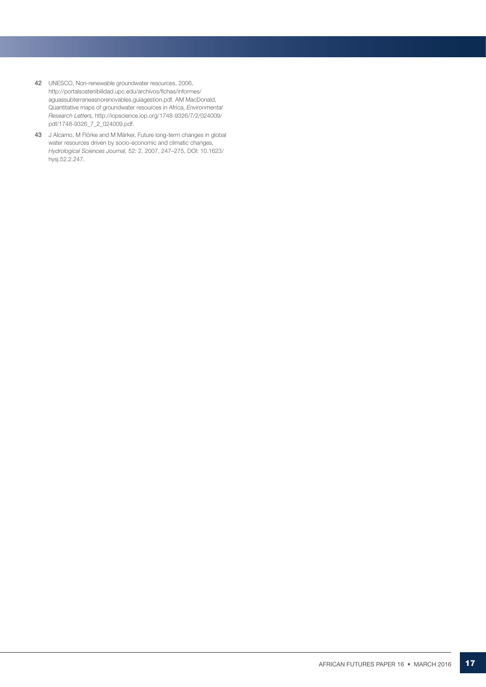- 42 UNESCO, Non-renewable groundwater resources, 2006, http://portalsostenibilidad.upc.edu/archivos/fichas/informes/ aguassubterraneasnorenovables.guiagestion.pdf. AM MacDonald, Quantitative maps of groundwater resources in Africa, *Environmental Research Letters,* http://iopscience.iop.org/1748-9326/7/2/024009/ pdf/1748-9326\_7\_2\_024009.pdf.
- 43 J Alcamo, M Flörke and M Märker, Future long-term changes in global water resources driven by socio-economic and climatic changes, *Hydrological Sciences Journal,* 52: 2, 2007, 247–275, DOI: 10.1623/ hysj.52.2.247.